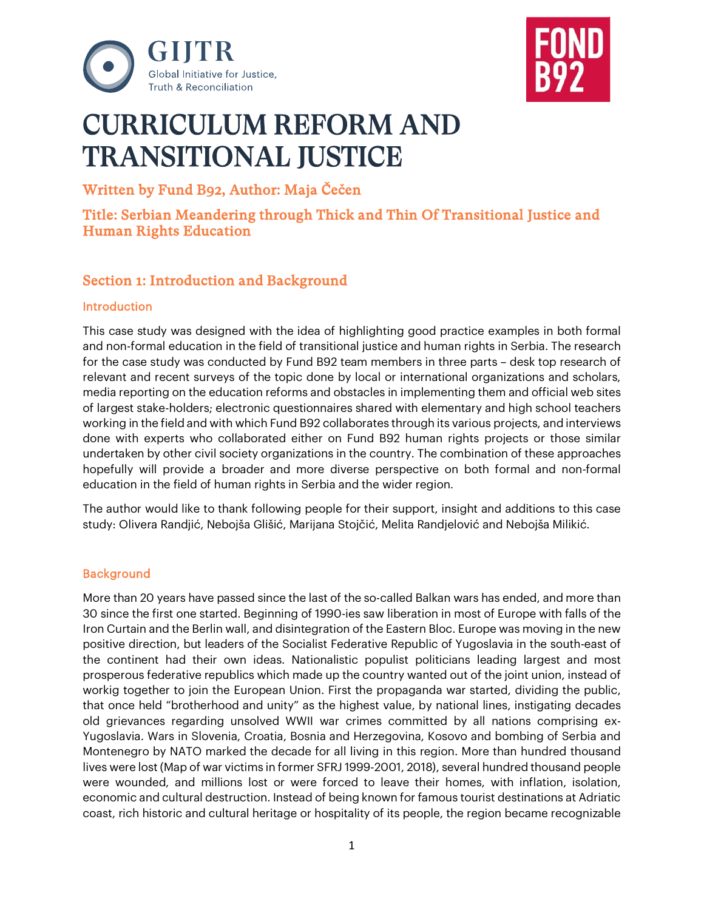



# CURRICULUM REFORM AND TRANSITIONAL IUSTICE

Written by Fund B92, Author: Maja Čečen

Title: Serbian Meandering through Thick and Thin Of Transitional Justice and Human Rights Education

# Section 1: Introduction and Background

#### **Introduction**

This case study was designed with the idea of highlighting good practice examples in both formal and non-formal education in the field of transitional justice and human rights in Serbia. The research for the case study was conducted by Fund B92 team members in three parts – desk top research of relevant and recent surveys of the topic done by local or international organizations and scholars, media reporting on the education reforms and obstacles in implementing them and official web sites of largest stake-holders; electronic questionnaires shared with elementary and high school teachers working in the field and with which Fund B92 collaborates through its various projects, and interviews done with experts who collaborated either on Fund B92 human rights projects or those similar undertaken by other civil society organizations in the country. The combination of these approaches hopefully will provide a broader and more diverse perspective on both formal and non-formal education in the field of human rights in Serbia and the wider region.

The author would like to thank following people for their support, insight and additions to this case study: Olivera Randjić, Nebojša Glišić, Marijana Stojčić, Melita Randjelović and Nebojša Milikić.

#### **Background**

More than 20 years have passed since the last of the so-called Balkan wars has ended, and more than 30 since the first one started. Beginning of 1990-ies saw liberation in most of Europe with falls of the Iron Curtain and the Berlin wall, and disintegration of the Eastern Bloc. Europe was moving in the new positive direction, but leaders of the Socialist Federative Republic of Yugoslavia in the south-east of the continent had their own ideas. Nationalistic populist politicians leading largest and most prosperous federative republics which made up the country wanted out of the joint union, instead of workig together to join the European Union. First the propaganda war started, dividing the public, that once held "brotherhood and unity" as the highest value, by national lines, instigating decades old grievances regarding unsolved WWII war crimes committed by all nations comprising ex-Yugoslavia. Wars in Slovenia, Croatia, Bosnia and Herzegovina, Kosovo and bombing of Serbia and Montenegro by NATO marked the decade for all living in this region. More than hundred thousand lives were lost (Map of war victims in former SFRJ 1999-2001, 2018), several hundred thousand people were wounded, and millions lost or were forced to leave their homes, with inflation, isolation, economic and cultural destruction. Instead of being known for famous tourist destinations at Adriatic coast, rich historic and cultural heritage or hospitality of its people, the region became recognizable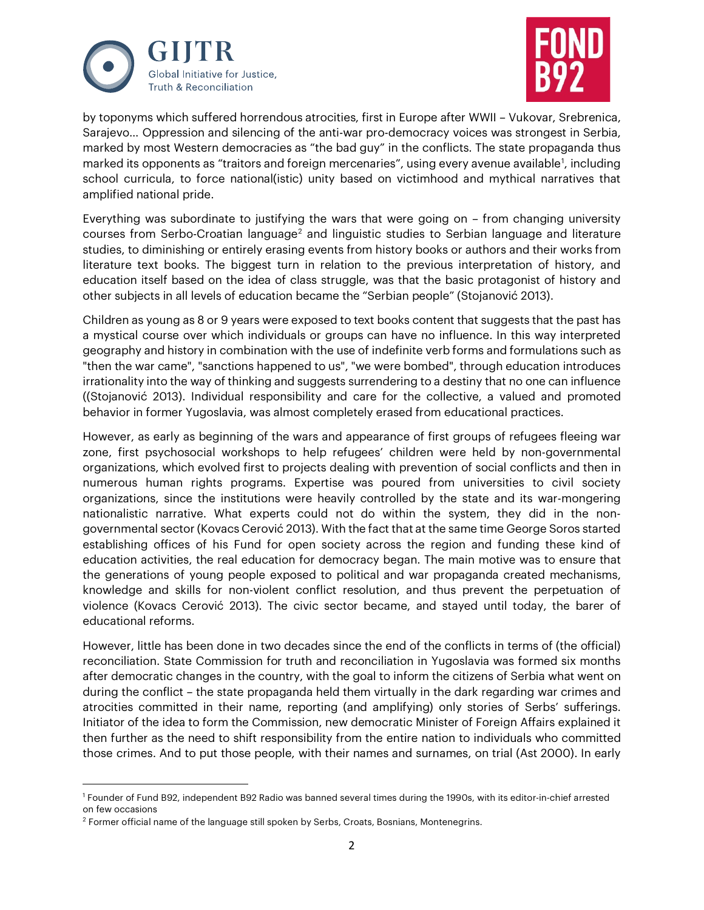



by toponyms which suffered horrendous atrocities, first in Europe after WWII – Vukovar, Srebrenica, Sarajevo… Oppression and silencing of the anti-war pro-democracy voices was strongest in Serbia, marked by most Western democracies as "the bad guy" in the conflicts. The state propaganda thus marked its opponents as "traitors and foreign mercenaries", using every avenue available<sup>[1](#page-1-0)</sup>, including school curricula, to force national(istic) unity based on victimhood and mythical narratives that amplified national pride.

Everything was subordinate to justifying the wars that were going on – from changing university courses from Serbo-Croatian language<sup>[2](#page-1-1)</sup> and linguistic studies to Serbian language and literature studies, to diminishing or entirely erasing events from history books or authors and their works from literature text books. The biggest turn in relation to the previous interpretation of history, and education itself based on the idea of class struggle, was that the basic protagonist of history and other subjects in all levels of education became the "Serbian people" (Stojanović 2013).

Children as young as 8 or 9 years were exposed to text books content that suggests that the past has a mystical course over which individuals or groups can have no influence. In this way interpreted geography and history in combination with the use of indefinite verb forms and formulations such as "then the war came", "sanctions happened to us", "we were bombed", through education introduces irrationality into the way of thinking and suggests surrendering to a destiny that no one can influence ((Stojanović 2013). Individual responsibility and care for the collective, a valued and promoted behavior in former Yugoslavia, was almost completely erased from educational practices.

However, as early as beginning of the wars and appearance of first groups of refugees fleeing war zone, first psychosocial workshops to help refugees' children were held by non-governmental organizations, which evolved first to projects dealing with prevention of social conflicts and then in numerous human rights programs. Expertise was poured from universities to civil society organizations, since the institutions were heavily controlled by the state and its war-mongering nationalistic narrative. What experts could not do within the system, they did in the nongovernmental sector (Kovacs Cerović 2013). With the fact that at the same time George Soros started establishing offices of his Fund for open society across the region and funding these kind of education activities, the real education for democracy began. The main motive was to ensure that the generations of young people exposed to political and war propaganda created mechanisms, knowledge and skills for non-violent conflict resolution, and thus prevent the perpetuation of violence (Kovacs Cerović 2013). The civic sector became, and stayed until today, the barer of educational reforms.

However, little has been done in two decades since the end of the conflicts in terms of (the official) reconciliation. State Commission for truth and reconciliation in Yugoslavia was formed six months after democratic changes in the country, with the goal to inform the citizens of Serbia what went on during the conflict – the state propaganda held them virtually in the dark regarding war crimes and atrocities committed in their name, reporting (and amplifying) only stories of Serbs' sufferings. Initiator of the idea to form the Commission, new democratic Minister of Foreign Affairs explained it then further as the need to shift responsibility from the entire nation to individuals who committed those crimes. And to put those people, with their names and surnames, on trial (Ast 2000). In early

<span id="page-1-0"></span><sup>1</sup> Founder of Fund B92, independent B92 Radio was banned several times during the 1990s, with its editor-in-chief arrested on few occasions

<span id="page-1-1"></span> $2$  Former official name of the language still spoken by Serbs, Croats, Bosnians, Montenegrins.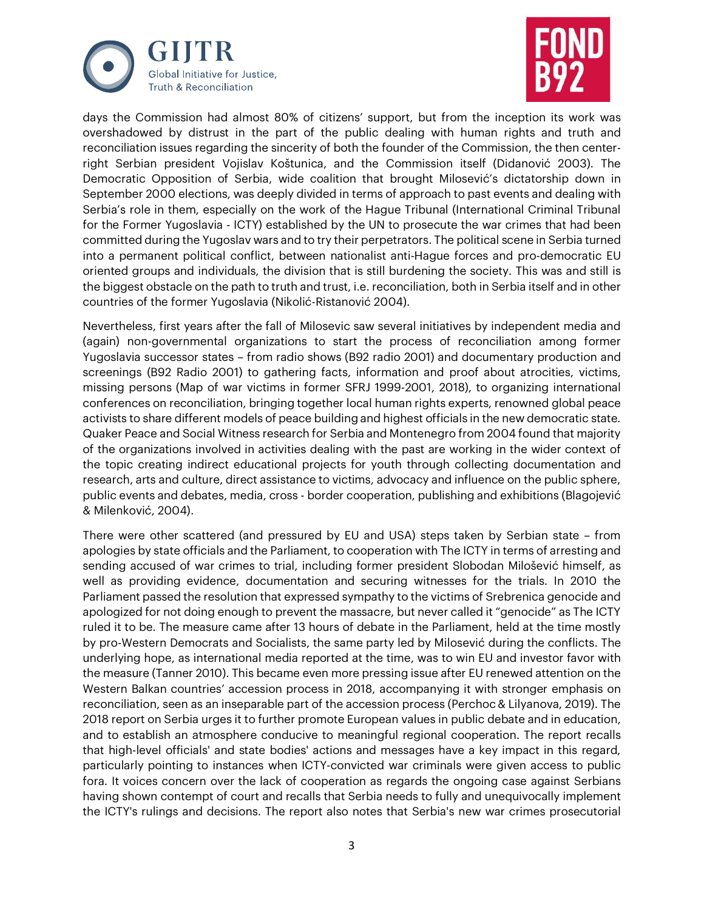



days the Commission had almost 80% of citizens' support, but from the inception its work was overshadowed by distrust in the part of the public dealing with human rights and truth and reconciliation issues regarding the sincerity of both the founder of the Commission, the then centerright Serbian president Vojislav Koštunica, and the Commission itself (Didanović 2003). The Democratic Opposition of Serbia, wide coalition that brought Milosević's dictatorship down in September 2000 elections, was deeply divided in terms of approach to past events and dealing with Serbia's role in them, especially on the work of the Hague Tribunal (International Criminal Tribunal for the Former Yugoslavia - ICTY) established by the UN to prosecute the war crimes that had been committed during the Yugoslav wars and to try their perpetrators. The political scene in Serbia turned into a permanent political conflict, between nationalist anti-Hague forces and pro-democratic EU oriented groups and individuals, the division that is still burdening the society. This was and still is the biggest obstacle on the path to truth and trust, i.e. reconciliation, both in Serbia itself and in other countries of the former Yugoslavia (Nikolić-Ristanović 2004).

Nevertheless, first years after the fall of Milosevic saw several initiatives by independent media and (again) non-governmental organizations to start the process of reconciliation among former Yugoslavia successor states – from radio shows (B92 radio 2001) and documentary production and screenings (B92 Radio 2001) to gathering facts, information and proof about atrocities, victims, missing persons (Map of war victims in former SFRJ 1999-2001, 2018), to organizing international conferences on reconciliation, bringing together local human rights experts, renowned global peace activists to share different models of peace building and highest officials in the new democratic state. Quaker Peace and Social Witness research for Serbia and Montenegro from 2004 found that majority of the organizations involved in activities dealing with the past are working in the wider context of the topic creating indirect educational projects for youth through collecting documentation and research, arts and culture, direct assistance to victims, advocacy and influence on the public sphere, public events and debates, media, cross - border cooperation, publishing and exhibitions (Blagojević & Milenković, 2004).

There were other scattered (and pressured by EU and USA) steps taken by Serbian state – from apologies by state officials and the Parliament, to cooperation with The ICTY in terms of arresting and sending accused of war crimes to trial, including former president Slobodan Milošević himself, as well as providing evidence, documentation and securing witnesses for the trials. In 2010 the Parliament passed the resolution that expressed sympathy to the victims of Srebrenica genocide and apologized for not doing enough to prevent the massacre, but never called it "genocide" as The ICTY ruled it to be. The measure came after 13 hours of debate in the Parliament, held at the time mostly by pro-Western Democrats and Socialists, the same party led by Milosević during the conflicts. The underlying hope, as international media reported at the time, was to win EU and investor favor with the measure (Tanner 2010). This became even more pressing issue after EU renewed attention on the Western Balkan countries' accession process in 2018, accompanying it with stronger emphasis on reconciliation, seen as an inseparable part of the accession process (Perchoc& Lilyanova, 2019). The 2018 report on Serbia urges it to further promote European values in public debate and in education, and to establish an atmosphere conducive to meaningful regional cooperation. The report recalls that high-level officials' and state bodies' actions and messages have a key impact in this regard, particularly pointing to instances when ICTY-convicted war criminals were given access to public fora. It voices concern over the lack of cooperation as regards the ongoing case against Serbians having shown contempt of court and recalls that Serbia needs to fully and unequivocally implement the ICTY's rulings and decisions. The report also notes that Serbia's new war crimes prosecutorial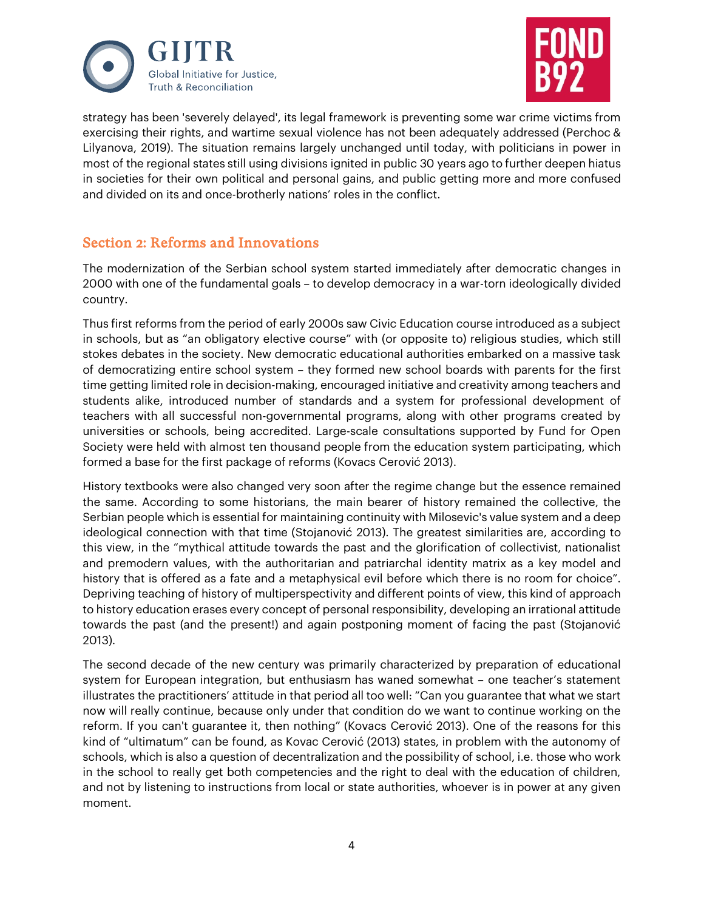



strategy has been 'severely delayed', its legal framework is preventing some war crime victims from exercising their rights, and wartime sexual violence has not been adequately addressed (Perchoc & Lilyanova, 2019). The situation remains largely unchanged until today, with politicians in power in most of the regional states still using divisions ignited in public 30 years ago to further deepen hiatus in societies for their own political and personal gains, and public getting more and more confused and divided on its and once-brotherly nations' roles in the conflict.

## Section 2: Reforms and Innovations

The modernization of the Serbian school system started immediately after democratic changes in 2000 with one of the fundamental goals – to develop democracy in a war-torn ideologically divided country.

Thus first reforms from the period of early 2000s saw Civic Education course introduced as a subject in schools, but as "an obligatory elective course" with (or opposite to) religious studies, which still stokes debates in the society. New democratic educational authorities embarked on a massive task of democratizing entire school system – they formed new school boards with parents for the first time getting limited role in decision-making, encouraged initiative and creativity among teachers and students alike, introduced number of standards and a system for professional development of teachers with all successful non-governmental programs, along with other programs created by universities or schools, being accredited. Large-scale consultations supported by Fund for Open Society were held with almost ten thousand people from the education system participating, which formed a base for the first package of reforms (Kovacs Cerović 2013).

History textbooks were also changed very soon after the regime change but the essence remained the same. According to some historians, the main bearer of history remained the collective, the Serbian people which is essential for maintaining continuity with Milosevic's value system and a deep ideological connection with that time (Stojanović 2013). The greatest similarities are, according to this view, in the "mythical attitude towards the past and the glorification of collectivist, nationalist and premodern values, with the authoritarian and patriarchal identity matrix as a key model and history that is offered as a fate and a metaphysical evil before which there is no room for choice". Depriving teaching of history of multiperspectivity and different points of view, this kind of approach to history education erases every concept of personal responsibility, developing an irrational attitude towards the past (and the present!) and again postponing moment of facing the past (Stojanović 2013).

The second decade of the new century was primarily characterized by preparation of educational system for European integration, but enthusiasm has waned somewhat – one teacher's statement illustrates the practitioners' attitude in that period all too well: "Can you guarantee that what we start now will really continue, because only under that condition do we want to continue working on the reform. If you can't guarantee it, then nothing" (Kovacs Cerović 2013). One of the reasons for this kind of "ultimatum" can be found, as Kovac Cerović (2013) states, in problem with the autonomy of schools, which is also a question of decentralization and the possibility of school, i.e. those who work in the school to really get both competencies and the right to deal with the education of children, and not by listening to instructions from local or state authorities, whoever is in power at any given moment.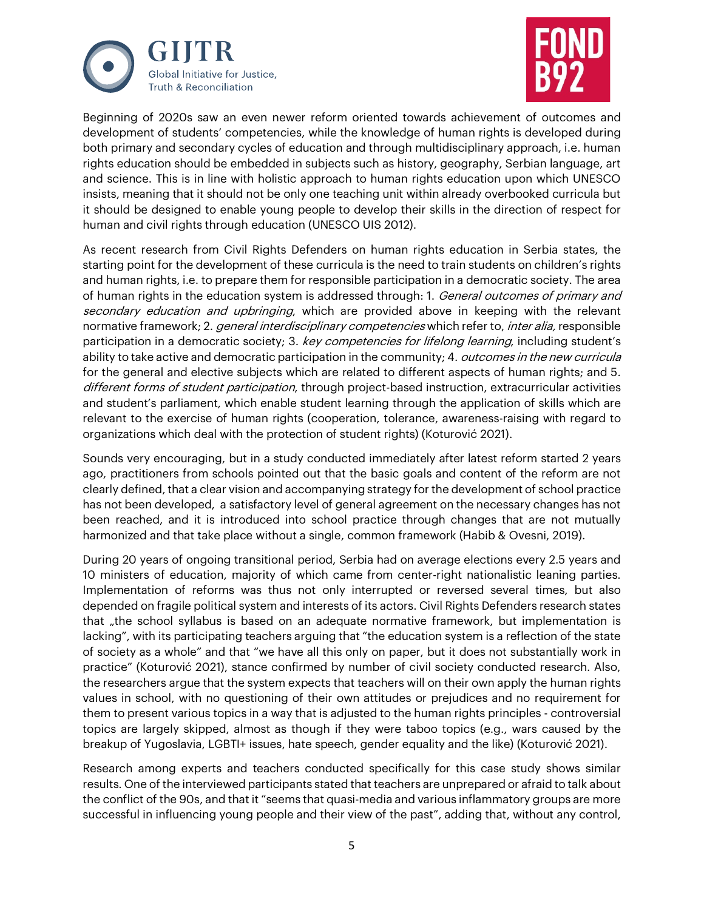



Beginning of 2020s saw an even newer reform oriented towards achievement of outcomes and development of students' competencies, while the knowledge of human rights is developed during both primary and secondary cycles of education and through multidisciplinary approach, i.e. human rights education should be embedded in subjects such as history, geography, Serbian language, art and science. This is in line with holistic approach to human rights education upon which UNESCO insists, meaning that it should not be only one teaching unit within already overbooked curricula but it should be designed to enable young people to develop their skills in the direction of respect for human and civil rights through education (UNESCO UIS 2012).

As recent research from Civil Rights Defenders on human rights education in Serbia states, the starting point for the development of these curricula is the need to train students on children's rights and human rights, i.e. to prepare them for responsible participation in a democratic society. The area of human rights in the education system is addressed through: 1. General outcomes of primary and secondary education and upbringing, which are provided above in keeping with the relevant normative framework; 2. general interdisciplinary competencies which refer to, inter alia, responsible participation in a democratic society; 3. key competencies for lifelong learning, including student's ability to take active and democratic participation in the community; 4. *outcomes in the new curricula* for the general and elective subjects which are related to different aspects of human rights; and 5. different forms of student participation, through project-based instruction, extracurricular activities and student's parliament, which enable student learning through the application of skills which are relevant to the exercise of human rights (cooperation, tolerance, awareness-raising with regard to organizations which deal with the protection of student rights) (Koturović 2021).

Sounds very encouraging, but in a study conducted immediately after latest reform started 2 years ago, practitioners from schools pointed out that the basic goals and content of the reform are not clearly defined, that a clear vision and accompanying strategy for the development of school practice has not been developed, a satisfactory level of general agreement on the necessary changes has not been reached, and it is introduced into school practice through changes that are not mutually harmonized and that take place without a single, common framework (Habib & Ovesni, 2019).

During 20 years of ongoing transitional period, Serbia had on average elections every 2.5 years and 10 ministers of education, majority of which came from center-right nationalistic leaning parties. Implementation of reforms was thus not only interrupted or reversed several times, but also depended on fragile political system and interests of its actors. Civil Rights Defenders research states that "the school syllabus is based on an adequate normative framework, but implementation is lacking", with its participating teachers arguing that "the education system is a reflection of the state of society as a whole" and that "we have all this only on paper, but it does not substantially work in practice" (Koturović 2021), stance confirmed by number of civil society conducted research. Also, the researchers argue that the system expects that teachers will on their own apply the human rights values in school, with no questioning of their own attitudes or prejudices and no requirement for them to present various topics in a way that is adjusted to the human rights principles - controversial topics are largely skipped, almost as though if they were taboo topics (e.g., wars caused by the breakup of Yugoslavia, LGBTI+ issues, hate speech, gender equality and the like) (Koturović 2021).

Research among experts and teachers conducted specifically for this case study shows similar results. One of the interviewed participants stated that teachers are unprepared or afraid to talk about the conflict of the 90s, and that it "seems that quasi-media and various inflammatory groups are more successful in influencing young people and their view of the past", adding that, without any control,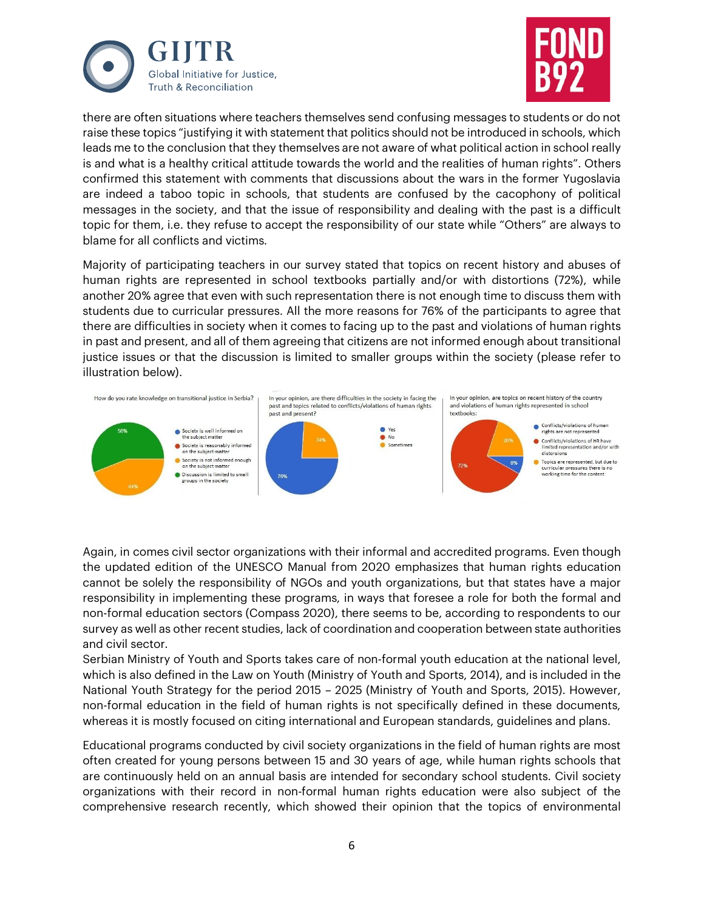



there are often situations where teachers themselves send confusing messages to students or do not raise these topics "justifying it with statement that politics should not be introduced in schools, which leads me to the conclusion that they themselves are not aware of what political action in school really is and what is a healthy critical attitude towards the world and the realities of human rights". Others confirmed this statement with comments that discussions about the wars in the former Yugoslavia are indeed a taboo topic in schools, that students are confused by the cacophony of political messages in the society, and that the issue of responsibility and dealing with the past is a difficult topic for them, i.e. they refuse to accept the responsibility of our state while "Others" are always to blame for all conflicts and victims.

Majority of participating teachers in our survey stated that topics on recent history and abuses of human rights are represented in school textbooks partially and/or with distortions (72%), while another 20% agree that even with such representation there is not enough time to discuss them with students due to curricular pressures. All the more reasons for 76% of the participants to agree that there are difficulties in society when it comes to facing up to the past and violations of human rights in past and present, and all of them agreeing that citizens are not informed enough about transitional justice issues or that the discussion is limited to smaller groups within the society (please refer to illustration below).



Again, in comes civil sector organizations with their informal and accredited programs. Even though the updated edition of the UNESCO Manual from 2020 emphasizes that human rights education cannot be solely the responsibility of NGOs and youth organizations, but that states have a major responsibility in implementing these programs, in ways that foresee a role for both the formal and non-formal education sectors (Compass 2020), there seems to be, according to respondents to our survey as well as other recent studies, lack of coordination and cooperation between state authorities and civil sector.

Serbian Ministry of Youth and Sports takes care of non-formal youth education at the national level, which is also defined in the Law on Youth (Ministry of Youth and Sports, 2014), and is included in the National Youth Strategy for the period 2015 – 2025 (Ministry of Youth and Sports, 2015). However, non-formal education in the field of human rights is not specifically defined in these documents, whereas it is mostly focused on citing international and European standards, guidelines and plans.

Educational programs conducted by civil society organizations in the field of human rights are most often created for young persons between 15 and 30 years of age, while human rights schools that are continuously held on an annual basis are intended for secondary school students. Civil society organizations with their record in non-formal human rights education were also subject of the comprehensive research recently, which showed their opinion that the topics of environmental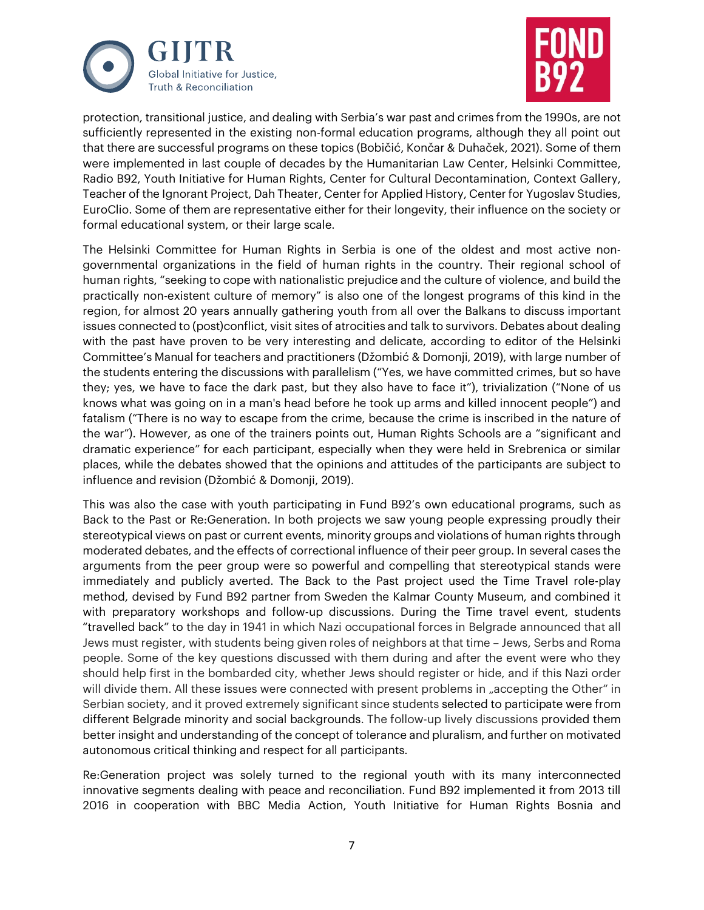



protection, transitional justice, and dealing with Serbia's war past and crimes from the 1990s, are not sufficiently represented in the existing non-formal education programs, although they all point out that there are successful programs on these topics (Bobičić, Končar & Duhaček, 2021). Some of them were implemented in last couple of decades by the Humanitarian Law Center, Helsinki Committee, Radio B92, Youth Initiative for Human Rights, Center for Cultural Decontamination, Context Gallery, Teacher of the Ignorant Project, Dah Theater, Center for Applied History, Center for Yugoslav Studies, EuroClio. Some of them are representative either for their longevity, their influence on the society or formal educational system, or their large scale.

The Helsinki Committee for Human Rights in Serbia is one of the oldest and most active nongovernmental organizations in the field of human rights in the country. Their regional school of human rights, "seeking to cope with nationalistic prejudice and the culture of violence, and build the practically non-existent culture of memory" is also one of the longest programs of this kind in the region, for almost 20 years annually gathering youth from all over the Balkans to discuss important issues connected to (post)conflict, visit sites of atrocities and talk to survivors. Debates about dealing with the past have proven to be very interesting and delicate, according to editor of the Helsinki Committee's Manual for teachers and practitioners (Džombić & Domonji, 2019), with large number of the students entering the discussions with parallelism ("Yes, we have committed crimes, but so have they; yes, we have to face the dark past, but they also have to face it"), trivialization ("None of us knows what was going on in a man's head before he took up arms and killed innocent people") and fatalism ("There is no way to escape from the crime, because the crime is inscribed in the nature of the war"). However, as one of the trainers points out, Human Rights Schools are a "significant and dramatic experience" for each participant, especially when they were held in Srebrenica or similar places, while the debates showed that the opinions and attitudes of the participants are subject to influence and revision (Džombić & Domonji, 2019).

This was also the case with youth participating in Fund B92's own educational programs, such as Back to the Past or Re:Generation. In both projects we saw young people expressing proudly their stereotypical views on past or current events, minority groups and violations of human rights through moderated debates, and the effects of correctional influence of their peer group. In several cases the arguments from the peer group were so powerful and compelling that stereotypical stands were immediately and publicly averted. The Back to the Past project used the Time Travel role-play method, devised by Fund B92 partner from Sweden the Kalmar County Museum, and combined it with preparatory workshops and follow-up discussions. During the Time travel event, students "travelled back" to the day in 1941 in which Nazi occupational forces in Belgrade announced that all Jews must register, with students being given roles of neighbors at that time – Jews, Serbs and Roma people. Some of the key questions discussed with them during and after the event were who they should help first in the bombarded city, whether Jews should register or hide, and if this Nazi order will divide them. All these issues were connected with present problems in "accepting the Other" in Serbian society, and it proved extremely significant since students selected to participate were from different Belgrade minority and social backgrounds. The follow-up lively discussions provided them better insight and understanding of the concept of tolerance and pluralism, and further on motivated autonomous critical thinking and respect for all participants.

Re:Generation project was solely turned to the regional youth with its many interconnected innovative segments dealing with peace and reconciliation. Fund B92 implemented it from 2013 till 2016 in cooperation with BBC Media Action, Youth Initiative for Human Rights Bosnia and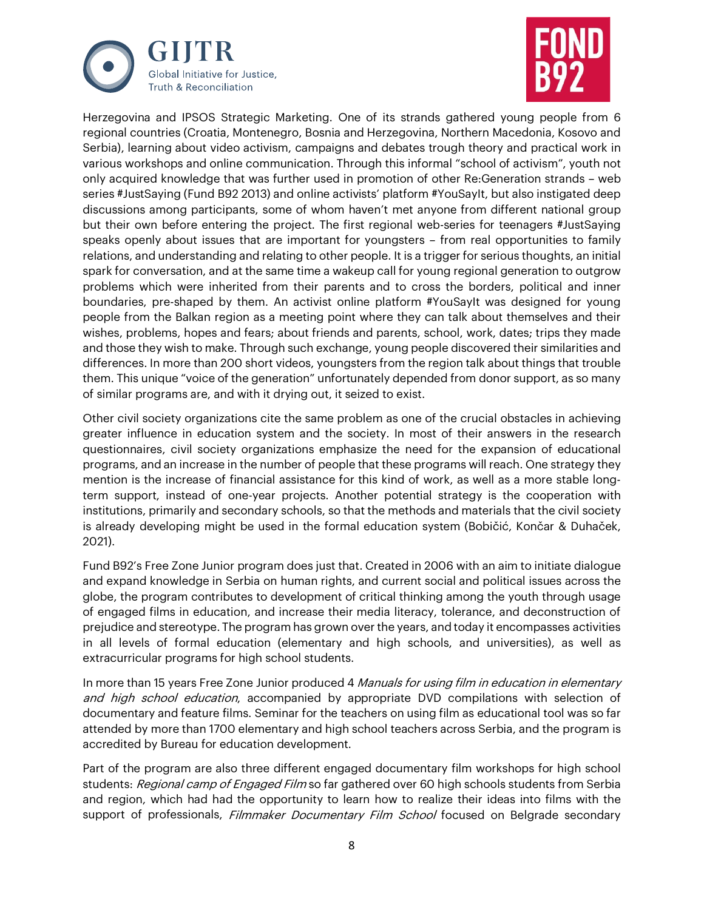



Herzegovina and IPSOS Strategic Marketing. One of its strands gathered young people from 6 regional countries (Croatia, Montenegro, Bosnia and Herzegovina, Northern Macedonia, Kosovo and Serbia), learning about video activism, campaigns and debates trough theory and practical work in various workshops and online communication. Through this informal "school of activism", youth not only acquired knowledge that was further used in promotion of other Re:Generation strands – web series #JustSaying (Fund B92 2013) and online activists' platform #YouSayIt, but also instigated deep discussions among participants, some of whom haven't met anyone from different national group but their own before entering the project. The first regional web-series for teenagers #JustSaying speaks openly about issues that are important for youngsters – from real opportunities to family relations, and understanding and relating to other people. It is a trigger for serious thoughts, an initial spark for conversation, and at the same time a wakeup call for young regional generation to outgrow problems which were inherited from their parents and to cross the borders, political and inner boundaries, pre-shaped by them. An activist online platform #YouSayIt was designed for young people from the Balkan region as a meeting point where they can talk about themselves and their wishes, problems, hopes and fears; about friends and parents, school, work, dates; trips they made and those they wish to make. Through such exchange, young people discovered their similarities and differences. In more than 200 short videos, youngsters from the region talk about things that trouble them. This unique "voice of the generation" unfortunately depended from donor support, as so many of similar programs are, and with it drying out, it seized to exist.

Other civil society organizations cite the same problem as one of the crucial obstacles in achieving greater influence in education system and the society. In most of their answers in the research questionnaires, civil society organizations emphasize the need for the expansion of educational programs, and an increase in the number of people that these programs will reach. One strategy they mention is the increase of financial assistance for this kind of work, as well as a more stable longterm support, instead of one-year projects. Another potential strategy is the cooperation with institutions, primarily and secondary schools, so that the methods and materials that the civil society is already developing might be used in the formal education system (Bobičić, Končar & Duhaček, 2021).

Fund B92's Free Zone Junior program does just that. Created in 2006 with an aim to initiate dialogue and expand knowledge in Serbia on human rights, and current social and political issues across the globe, the program contributes to development of critical thinking among the youth through usage of engaged films in education, and increase their media literacy, tolerance, and deconstruction of prejudice and stereotype. The program has grown over the years, and today it encompasses activities in all levels of formal education (elementary and high schools, and universities), as well as extracurricular programs for high school students.

In more than 15 years Free Zone Junior produced 4 Manuals for using film in education in elementary and high school education, accompanied by appropriate DVD compilations with selection of documentary and feature films. Seminar for the teachers on using film as educational tool was so far attended by more than 1700 elementary and high school teachers across Serbia, and the program is accredited by Bureau for education development.

Part of the program are also three different engaged documentary film workshops for high school students: Regional camp of Engaged Film so far gathered over 60 high schools students from Serbia and region, which had had the opportunity to learn how to realize their ideas into films with the support of professionals, Filmmaker Documentary Film School focused on Belgrade secondary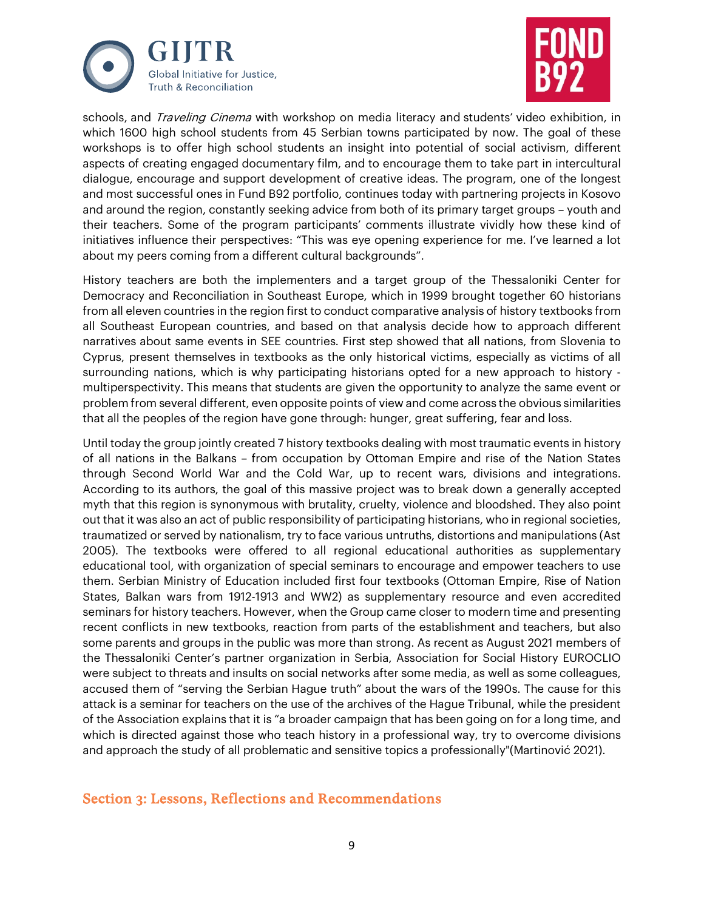



schools, and *Traveling Cinema* with workshop on media literacy and students' video exhibition, in which 1600 high school students from 45 Serbian towns participated by now. The goal of these workshops is to offer high school students an insight into potential of social activism, different aspects of creating engaged documentary film, and to encourage them to take part in intercultural dialogue, encourage and support development of creative ideas. The program, one of the longest and most successful ones in Fund B92 portfolio, continues today with partnering projects in Kosovo and around the region, constantly seeking advice from both of its primary target groups – youth and their teachers. Some of the program participants' comments illustrate vividly how these kind of initiatives influence their perspectives: "This was eye opening experience for me. I've learned a lot about my peers coming from a different cultural backgrounds".

History teachers are both the implementers and a target group of the Thessaloniki Center for Democracy and Reconciliation in Southeast Europe, which in 1999 brought together 60 historians from all eleven countries in the region first to conduct comparative analysis of history textbooks from all Southeast European countries, and based on that analysis decide how to approach different narratives about same events in SEE countries. First step showed that all nations, from Slovenia to Cyprus, present themselves in textbooks as the only historical victims, especially as victims of all surrounding nations, which is why participating historians opted for a new approach to history multiperspectivity. This means that students are given the opportunity to analyze the same event or problem from several different, even opposite points of view and come across the obvious similarities that all the peoples of the region have gone through: hunger, great suffering, fear and loss.

Until today the group jointly created 7 history textbooks dealing with most traumatic events in history of all nations in the Balkans – from occupation by Ottoman Empire and rise of the Nation States through Second World War and the Cold War, up to recent wars, divisions and integrations. According to its authors, the goal of this massive project was to break down a generally accepted myth that this region is synonymous with brutality, cruelty, violence and bloodshed. They also point out that it was also an act of public responsibility of participating historians, who in regional societies, traumatized or served by nationalism, try to face various untruths, distortions and manipulations (Ast 2005). The textbooks were offered to all regional educational authorities as supplementary educational tool, with organization of special seminars to encourage and empower teachers to use them. Serbian Ministry of Education included first four textbooks (Ottoman Empire, Rise of Nation States, Balkan wars from 1912-1913 and WW2) as supplementary resource and even accredited seminars for history teachers. However, when the Group came closer to modern time and presenting recent conflicts in new textbooks, reaction from parts of the establishment and teachers, but also some parents and groups in the public was more than strong. As recent as August 2021 members of the Thessaloniki Center's partner organization in Serbia, Association for Social History EUROCLIO were subject to threats and insults on social networks after some media, as well as some colleagues, accused them of "serving the Serbian Hague truth" about the wars of the 1990s. The cause for this attack is a seminar for teachers on the use of the archives of the Hague Tribunal, while the president of the Association explains that it is "a broader campaign that has been going on for a long time, and which is directed against those who teach history in a professional way, try to overcome divisions and approach the study of all problematic and sensitive topics a professionally"(Martinović 2021).

#### Section 3: Lessons, Reflections and Recommendations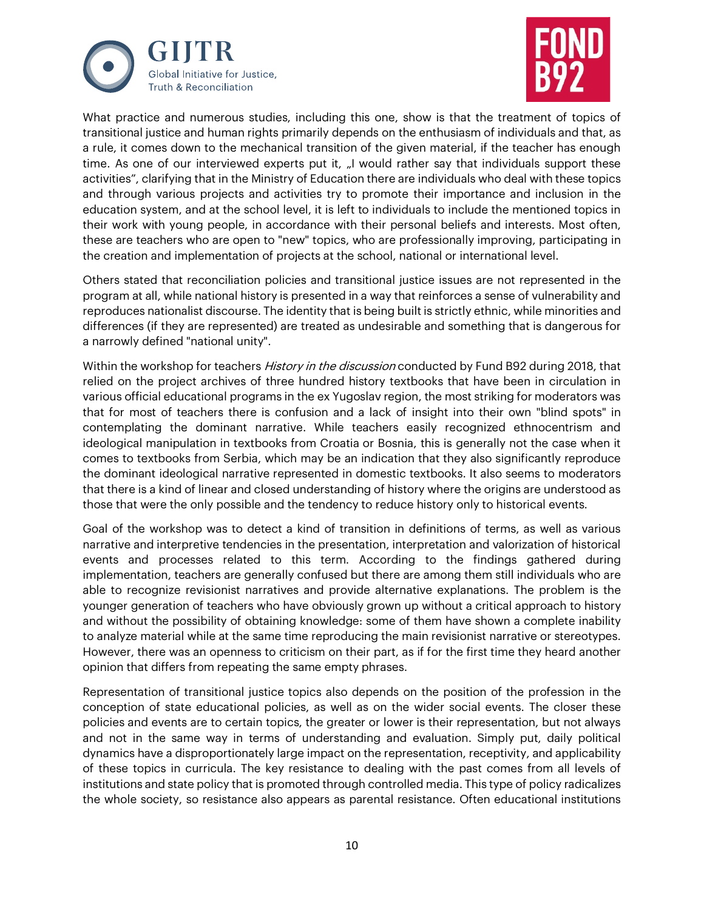



What practice and numerous studies, including this one, show is that the treatment of topics of transitional justice and human rights primarily depends on the enthusiasm of individuals and that, as a rule, it comes down to the mechanical transition of the given material, if the teacher has enough time. As one of our interviewed experts put it, "I would rather say that individuals support these activities", clarifying that in the Ministry of Education there are individuals who deal with these topics and through various projects and activities try to promote their importance and inclusion in the education system, and at the school level, it is left to individuals to include the mentioned topics in their work with young people, in accordance with their personal beliefs and interests. Most often, these are teachers who are open to "new" topics, who are professionally improving, participating in the creation and implementation of projects at the school, national or international level.

Others stated that reconciliation policies and transitional justice issues are not represented in the program at all, while national history is presented in a way that reinforces a sense of vulnerability and reproduces nationalist discourse. The identity that is being built is strictly ethnic, while minorities and differences (if they are represented) are treated as undesirable and something that is dangerous for a narrowly defined "national unity".

Within the workshop for teachers *History in the discussion* conducted by Fund B92 during 2018, that relied on the project archives of three hundred history textbooks that have been in circulation in various official educational programs in the ex Yugoslav region, the most striking for moderators was that for most of teachers there is confusion and a lack of insight into their own "blind spots" in contemplating the dominant narrative. While teachers easily recognized ethnocentrism and ideological manipulation in textbooks from Croatia or Bosnia, this is generally not the case when it comes to textbooks from Serbia, which may be an indication that they also significantly reproduce the dominant ideological narrative represented in domestic textbooks. It also seems to moderators that there is a kind of linear and closed understanding of history where the origins are understood as those that were the only possible and the tendency to reduce history only to historical events.

Goal of the workshop was to detect a kind of transition in definitions of terms, as well as various narrative and interpretive tendencies in the presentation, interpretation and valorization of historical events and processes related to this term. According to the findings gathered during implementation, teachers are generally confused but there are among them still individuals who are able to recognize revisionist narratives and provide alternative explanations. The problem is the younger generation of teachers who have obviously grown up without a critical approach to history and without the possibility of obtaining knowledge: some of them have shown a complete inability to analyze material while at the same time reproducing the main revisionist narrative or stereotypes. However, there was an openness to criticism on their part, as if for the first time they heard another opinion that differs from repeating the same empty phrases.

Representation of transitional justice topics also depends on the position of the profession in the conception of state educational policies, as well as on the wider social events. The closer these policies and events are to certain topics, the greater or lower is their representation, but not always and not in the same way in terms of understanding and evaluation. Simply put, daily political dynamics have a disproportionately large impact on the representation, receptivity, and applicability of these topics in curricula. The key resistance to dealing with the past comes from all levels of institutions and state policy that is promoted through controlled media. This type of policy radicalizes the whole society, so resistance also appears as parental resistance. Often educational institutions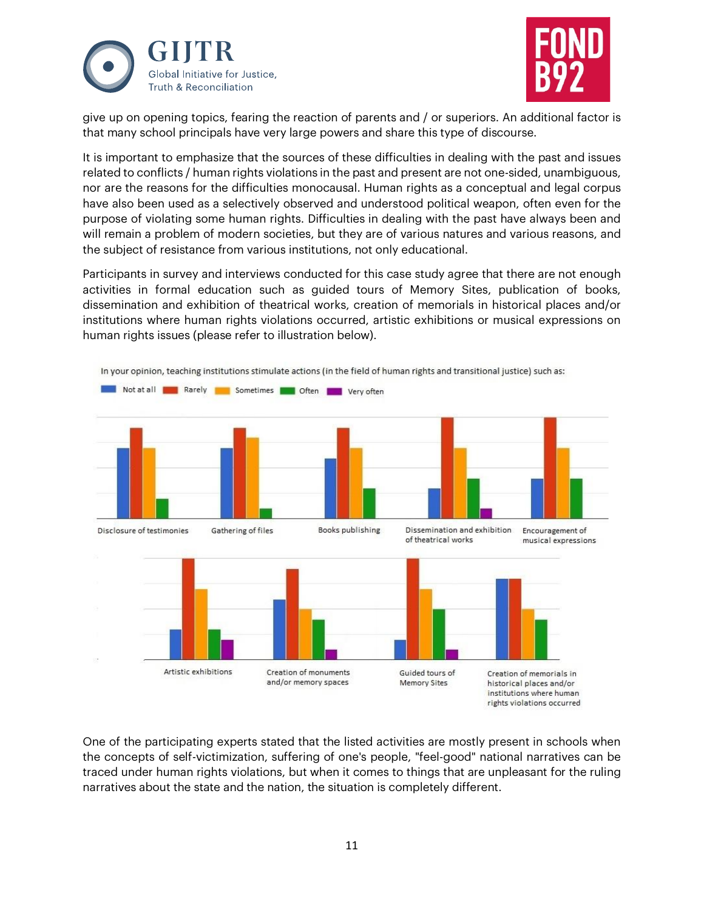



give up on opening topics, fearing the reaction of parents and / or superiors. An additional factor is that many school principals have very large powers and share this type of discourse.

It is important to emphasize that the sources of these difficulties in dealing with the past and issues related to conflicts / human rights violations in the past and present are not one-sided, unambiguous, nor are the reasons for the difficulties monocausal. Human rights as a conceptual and legal corpus have also been used as a selectively observed and understood political weapon, often even for the purpose of violating some human rights. Difficulties in dealing with the past have always been and will remain a problem of modern societies, but they are of various natures and various reasons, and the subject of resistance from various institutions, not only educational.

Participants in survey and interviews conducted for this case study agree that there are not enough activities in formal education such as guided tours of Memory Sites, publication of books, dissemination and exhibition of theatrical works, creation of memorials in historical places and/or institutions where human rights violations occurred, artistic exhibitions or musical expressions on human rights issues (please refer to illustration below).



One of the participating experts stated that the listed activities are mostly present in schools when the concepts of self-victimization, suffering of one's people, "feel-good" national narratives can be traced under human rights violations, but when it comes to things that are unpleasant for the ruling narratives about the state and the nation, the situation is completely different.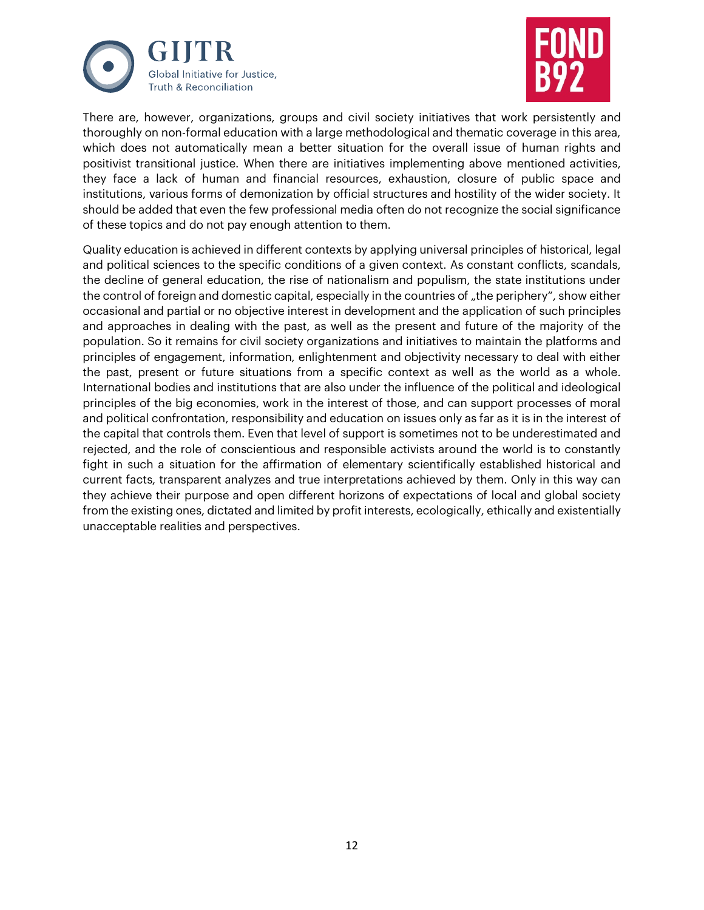



There are, however, organizations, groups and civil society initiatives that work persistently and thoroughly on non-formal education with a large methodological and thematic coverage in this area, which does not automatically mean a better situation for the overall issue of human rights and positivist transitional justice. When there are initiatives implementing above mentioned activities, they face a lack of human and financial resources, exhaustion, closure of public space and institutions, various forms of demonization by official structures and hostility of the wider society. It should be added that even the few professional media often do not recognize the social significance of these topics and do not pay enough attention to them.

Quality education is achieved in different contexts by applying universal principles of historical, legal and political sciences to the specific conditions of a given context. As constant conflicts, scandals, the decline of general education, the rise of nationalism and populism, the state institutions under the control of foreign and domestic capital, especially in the countries of "the periphery", show either occasional and partial or no objective interest in development and the application of such principles and approaches in dealing with the past, as well as the present and future of the majority of the population. So it remains for civil society organizations and initiatives to maintain the platforms and principles of engagement, information, enlightenment and objectivity necessary to deal with either the past, present or future situations from a specific context as well as the world as a whole. International bodies and institutions that are also under the influence of the political and ideological principles of the big economies, work in the interest of those, and can support processes of moral and political confrontation, responsibility and education on issues only as far as it is in the interest of the capital that controls them. Even that level of support is sometimes not to be underestimated and rejected, and the role of conscientious and responsible activists around the world is to constantly fight in such a situation for the affirmation of elementary scientifically established historical and current facts, transparent analyzes and true interpretations achieved by them. Only in this way can they achieve their purpose and open different horizons of expectations of local and global society from the existing ones, dictated and limited by profit interests, ecologically, ethically and existentially unacceptable realities and perspectives.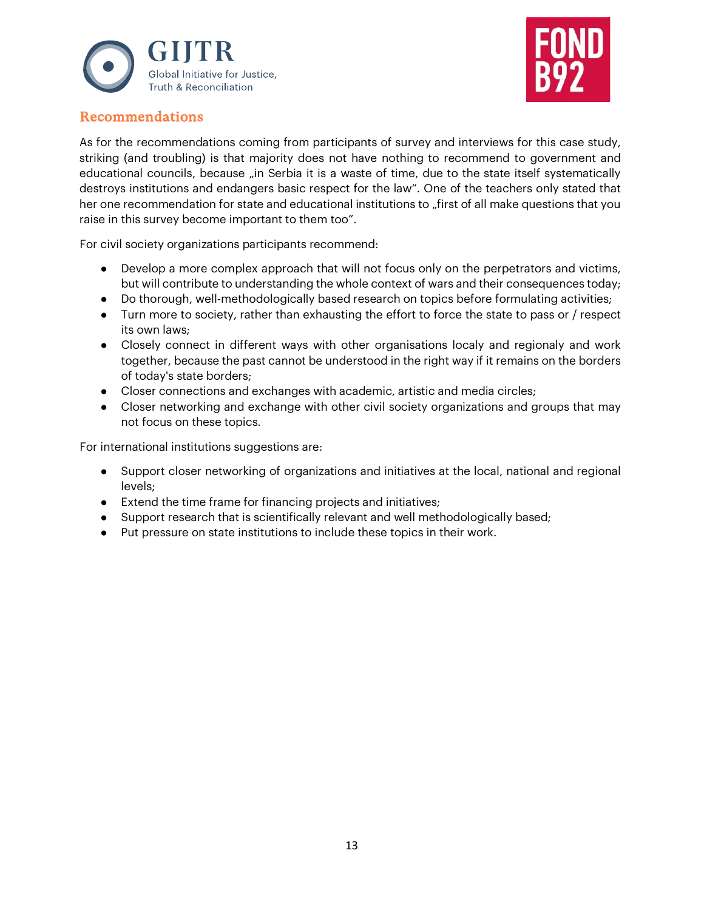



### Recommendations

As for the recommendations coming from participants of survey and interviews for this case study, striking (and troubling) is that majority does not have nothing to recommend to government and educational councils, because "in Serbia it is a waste of time, due to the state itself systematically destroys institutions and endangers basic respect for the law". One of the teachers only stated that her one recommendation for state and educational institutions to "first of all make questions that you raise in this survey become important to them too".

For civil society organizations participants recommend:

- Develop a more complex approach that will not focus only on the perpetrators and victims, but will contribute to understanding the whole context of wars and their consequences today;
- Do thorough, well-methodologically based research on topics before formulating activities;
- Turn more to society, rather than exhausting the effort to force the state to pass or / respect its own laws;
- Closely connect in different ways with other organisations localy and regionaly and work together, because the past cannot be understood in the right way if it remains on the borders of today's state borders;
- Closer connections and exchanges with academic, artistic and media circles;
- Closer networking and exchange with other civil society organizations and groups that may not focus on these topics.

For international institutions suggestions are:

- Support closer networking of organizations and initiatives at the local, national and regional levels;
- Extend the time frame for financing projects and initiatives;
- Support research that is scientifically relevant and well methodologically based;
- Put pressure on state institutions to include these topics in their work.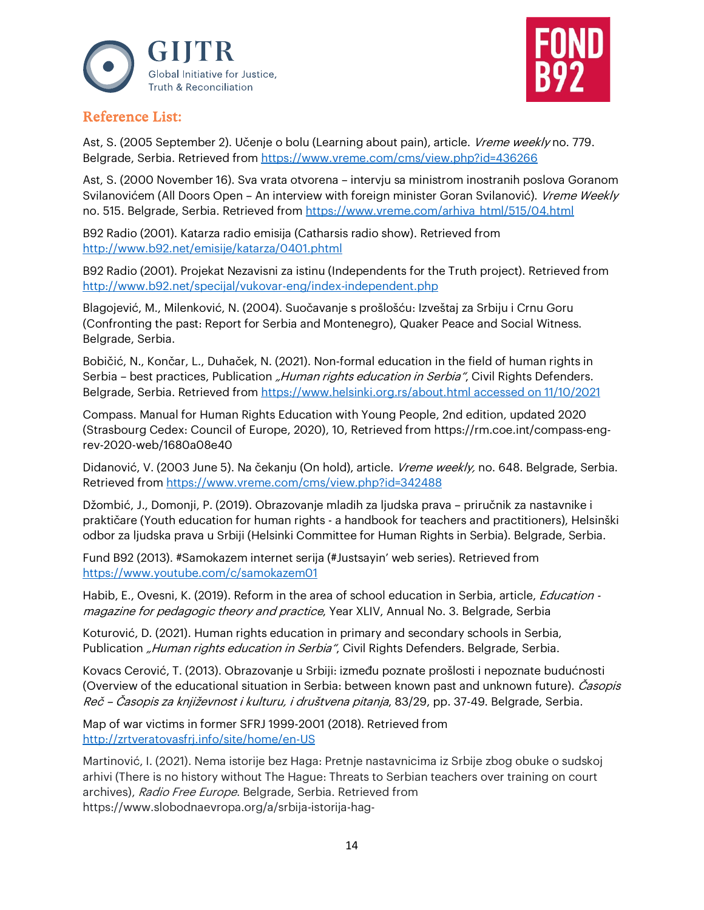



## Reference List:

Ast, S. (2005 September 2). Učenje o bolu (Learning about pain), article. Vreme weekly no. 779. Belgrade, Serbia. Retrieved from<https://www.vreme.com/cms/view.php?id=436266>

Ast, S. (2000 November 16). Sva vrata otvorena – intervju sa ministrom inostranih poslova Goranom Svilanovićem (All Doors Open - An interview with foreign minister Goran Svilanović). Vreme Weekly no. 515. Belgrade, Serbia. Retrieved from https://www.vreme.com/arhiva html/515/04.html

B92 Radio (2001). Katarza radio emisija (Catharsis radio show). Retrieved from <http://www.b92.net/emisije/katarza/0401.phtml>

B92 Radio (2001). Projekat Nezavisni za istinu (Independents for the Truth project). Retrieved from <http://www.b92.net/specijal/vukovar-eng/index-independent.php>

Blagojević, M., Milenković, N. (2004). Suočavanje s prošlošću: Izveštaj za Srbiju i Crnu Goru (Confronting the past: Report for Serbia and Montenegro), Quaker Peace and Social Witness. Belgrade, Serbia.

Bobičić, N., Končar, L., Duhaček, N. (2021). Non-formal education in the field of human rights in Serbia – best practices, Publication "Human rights education in Serbia", Civil Rights Defenders. Belgrade, Serbia. Retrieved from [https://www.helsinki.org.rs/about.html accessed on 11/10/2021](https://www.helsinki.org.rs/about.html%20accessed%20on%2011/10/2021)

Compass. Manual for Human Rights Education with Young People, 2nd edition, updated 2020 (Strasbourg Cedex: Council of Europe, 2020), 10, Retrieved fro[m https://rm.coe.int/compass-eng](https://rm.coe.int/compass-eng-rev-2020-web/1680a08e40)[rev-2020-web/1680a08e40](https://rm.coe.int/compass-eng-rev-2020-web/1680a08e40)

Didanović, V. (2003 June 5). Na čekanju (On hold), article. Vreme weekly, no. 648. Belgrade, Serbia. Retrieved fro[m https://www.vreme.com/cms/view.php?id=342488](https://www.vreme.com/cms/view.php?id=342488)

Džombić, J., Domonji, P. (2019). Obrazovanje mladih za ljudska prava – priručnik za nastavnike i praktičare (Youth education for human rights - a handbook for teachers and practitioners), Helsinški odbor za ljudska prava u Srbiji (Helsinki Committee for Human Rights in Serbia). Belgrade, Serbia.

Fund B92 (2013). #Samokazem internet serija (#Justsayin' web series). Retrieved from <https://www.youtube.com/c/samokazem01>

Habib, E., Ovesni, K. (2019). Reform in the area of school education in Serbia, article, *Education* magazine for pedagogic theory and practice, Year XLIV, Annual No. 3. Belgrade, Serbia

Koturović, D. (2021). Human rights education in primary and secondary schools in Serbia, Publication "Human rights education in Serbia", Civil Rights Defenders. Belgrade, Serbia.

Kovacs Cerović, T. (2013). Obrazovanje u Srbiji: između poznate prošlosti i nepoznate budućnosti (Overview of the educational situation in Serbia: between known past and unknown future). *Casopis* Reč – Časopis za književnost i kulturu, i društvena pitanja, 83/29, pp. 37-49. Belgrade, Serbia.

Map of war victims in former SFRJ 1999-2001 (2018). Retrieved from <http://zrtveratovasfrj.info/site/home/en-US>

Martinović, I. (2021). Nema istorije bez Haga: Pretnje nastavnicima iz Srbije zbog obuke o sudskoj arhivi (There is no history without The Hague: Threats to Serbian teachers over training on court archives), Radio Free Europe. Belgrade, Serbia. Retrieved from https://www.slobodnaevropa.org/a/srbija-istorija-hag-